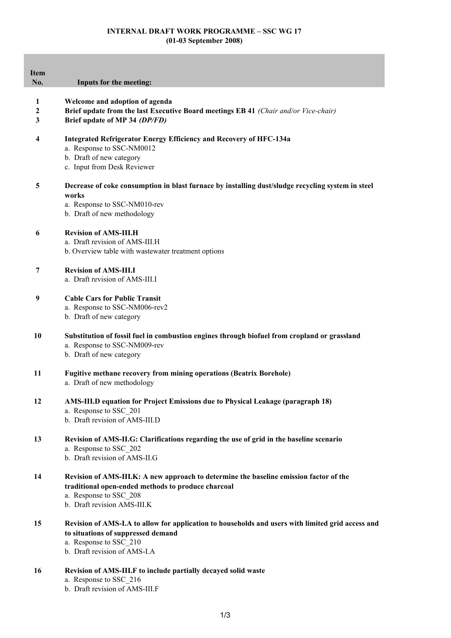## **INTERNAL DRAFT WORK PROGRAMME – SSC WG 17 (01-03 September 2008)**

| <b>Item</b><br>No. | Inputs for the meeting:                                                                                                                                                                               |
|--------------------|-------------------------------------------------------------------------------------------------------------------------------------------------------------------------------------------------------|
| 1<br>2<br>3        | Welcome and adoption of agenda<br>Brief update from the last Executive Board meetings EB 41 (Chair and/or Vice-chair)<br>Brief update of MP 34 (DP/FD)                                                |
| 4                  | <b>Integrated Refrigerator Energy Efficiency and Recovery of HFC-134a</b><br>a. Response to SSC-NM0012<br>b. Draft of new category<br>c. Input from Desk Reviewer                                     |
| 5                  | Decrease of coke consumption in blast furnace by installing dust/sludge recycling system in steel<br>works<br>a. Response to SSC-NM010-rev<br>b. Draft of new methodology                             |
| 6                  | <b>Revision of AMS-III.H</b><br>a. Draft revision of AMS-III.H<br>b. Overview table with wastewater treatment options                                                                                 |
| 7                  | <b>Revision of AMS-III.I</b><br>a. Draft revision of AMS-III.I                                                                                                                                        |
| 9                  | <b>Cable Cars for Public Transit</b><br>a. Response to SSC-NM006-rev2<br>b. Draft of new category                                                                                                     |
| 10                 | Substitution of fossil fuel in combustion engines through biofuel from cropland or grassland<br>a. Response to SSC-NM009-rev<br>b. Draft of new category                                              |
| 11                 | <b>Fugitive methane recovery from mining operations (Beatrix Borehole)</b><br>a. Draft of new methodology                                                                                             |
| 12                 | AMS-III.D equation for Project Emissions due to Physical Leakage (paragraph 18)<br>a. Response to SSC 201<br>b. Draft revision of AMS-III.D                                                           |
| 13                 | Revision of AMS-II.G: Clarifications regarding the use of grid in the baseline scenario<br>a. Response to SSC 202<br>b. Draft revision of AMS-II.G                                                    |
| 14                 | Revision of AMS-III.K: A new approach to determine the baseline emission factor of the<br>traditional open-ended methods to produce charcoal<br>a. Response to SSC 208<br>b. Draft revision AMS-III.K |
| 15                 | Revision of AMS-I.A to allow for application to households and users with limited grid access and<br>to situations of suppressed demand<br>a. Response to SSC_210<br>b. Draft revision of AMS-I.A     |

- **16 Revision of AMS-III.F to include partially decayed solid waste**
	- a. Response to SSC\_216
	- b. Draft revision of AMS-III.F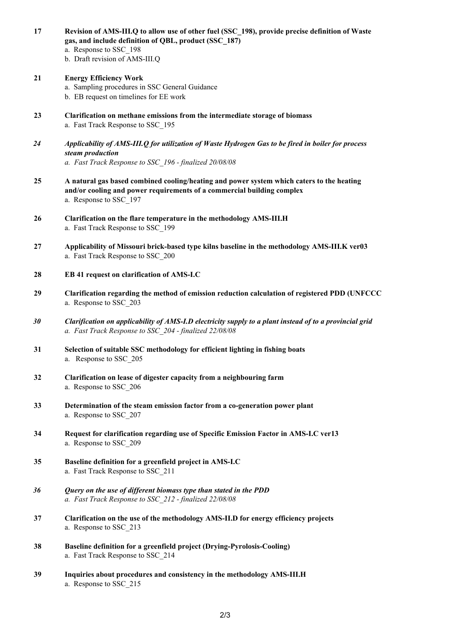**gas, and include definition of QBL, product (SSC\_187)** a. Response to SSC\_198 b. Draft revision of AMS-III.Q **21 Energy Efficiency Work** a. Sampling procedures in SSC General Guidance b. EB request on timelines for EE work **23 Clarification on methane emissions from the intermediate storage of biomass** a. Fast Track Response to SSC\_195 *24 Applicability of AMS-III.Q for utilization of Waste Hydrogen Gas to be fired in boiler for process steam production a. Fast Track Response to SSC\_196 - finalized 20/08/08* **25 A natural gas based combined cooling/heating and power system which caters to the heating and/or cooling and power requirements of a commercial building complex** a. Response to SSC\_197 **26 Clarification on the flare temperature in the methodology AMS-III.H** a. Fast Track Response to SSC\_199 **27 Applicability of Missouri brick-based type kilns baseline in the methodology AMS-III.K ver03** a. Fast Track Response to SSC\_200 **28 EB 41 request on clarification of AMS-I.C 29 Clarification regarding the method of emission reduction calculation of registered PDD (UNFCCC**  a. Response to SSC\_203 *30 Clarification on applicability of AMS-I.D electricity supply to a plant instead of to a provincial grid a. Fast Track Response to SSC\_204 - finalized 22/08/08* **31 Selection of suitable SSC methodology for efficient lighting in fishing boats** a. Response to SSC\_205 **32 Clarification on lease of digester capacity from a neighbouring farm** a. Response to SSC\_206 **33 Determination of the steam emission factor from a co-generation power plant** a. Response to SSC\_207 **34 Request for clarification regarding use of Specific Emission Factor in AMS-I.C ver13** a. Response to SSC\_209 **35 Baseline definition for a greenfield project in AMS-I.C** a. Fast Track Response to SSC\_211 *36 Query on the use of different biomass type than stated in the PDD a. Fast Track Response to SSC\_212 - finalized 22/08/08* **37 Clarification on the use of the methodology AMS-II.D for energy efficiency projects** a. Response to SSC\_213 **38 Baseline definition for a greenfield project (Drying-Pyrolosis-Cooling)** a. Fast Track Response to SSC\_214 **39 Inquiries about procedures and consistency in the methodology AMS-III.H** a. Response to SSC\_215

**17 Revision of AMS-III.Q to allow use of other fuel (SSC\_198), provide precise definition of Waste**